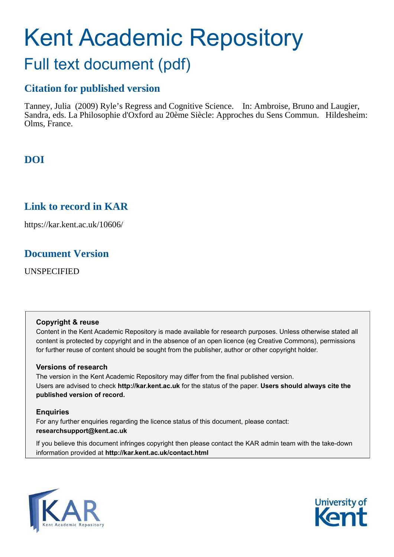# Kent Academic Repository Full text document (pdf)

# **Citation for published version**

Tanney, Julia (2009) Ryle's Regress and Cognitive Science. In: Ambroise, Bruno and Laugier, Sandra, eds. La Philosophie d'Oxford au 20ème Siècle: Approches du Sens Commun. Hildesheim: Olms, France.

# **DOI**

# **Link to record in KAR**

https://kar.kent.ac.uk/10606/

# **Document Version**

UNSPECIFIED

## **Copyright & reuse**

Content in the Kent Academic Repository is made available for research purposes. Unless otherwise stated all content is protected by copyright and in the absence of an open licence (eg Creative Commons), permissions for further reuse of content should be sought from the publisher, author or other copyright holder.

## **Versions of research**

The version in the Kent Academic Repository may differ from the final published version. Users are advised to check **http://kar.kent.ac.uk** for the status of the paper. **Users should always cite the published version of record.**

## **Enquiries**

For any further enquiries regarding the licence status of this document, please contact: **researchsupport@kent.ac.uk**

If you believe this document infringes copyright then please contact the KAR admin team with the take-down information provided at **http://kar.kent.ac.uk/contact.html**



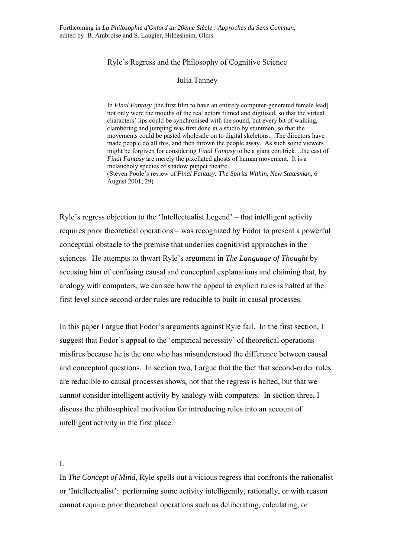Forthcoming in *La Philosophie d'Oxford au 20ème Siècle : Approches du Sens Commun*, edited by B. Ambroise and S. Laugier, Hildesheim, Olms.

## Ryle's Regress and the Philosophy of Cognitive Science

#### Julia Tanney

In *Final Fantasy* [the first film to have an entirely computer-generated female lead] not only were the mouths of the real actors filmed and digitised, so that the virtual characters' lips could be synchronised with the sound, but every bit of walking, clambering and jumping was first done in a studio by stuntmen, so that the movements could be pasted wholesale on to digital skeletons…The directors have made people do all this, and then thrown the people away. As such some viewers might be forgiven for considering *Final Fantasy* to be a giant con trick…the cast of *Final Fantasy* are merely the pixellated ghosts of human movement. It is a melancholy species of shadow puppet theatre. (Steven Poole's review of *Final Fantasy: The Spirits Within*, *New Statesman*, 6 August 2001; 29)

Ryle's regress objection to the 'Intellectualist Legend' – that intelligent activity requires prior theoretical operations – was recognized by Fodor to present a powerful conceptual obstacle to the premise that underlies cognitivist approaches in the sciences. He attempts to thwart Ryle's argument in *The Language of Thought* by accusing him of confusing causal and conceptual explanations and claiming that, by analogy with computers, we can see how the appeal to explicit rules is halted at the first level since second-order rules are reducible to built-in causal processes.

In this paper I argue that Fodor's arguments against Ryle fail. In the first section, I suggest that Fodor's appeal to the 'empirical necessity' of theoretical operations misfires because he is the one who has misunderstood the difference between causal and conceptual questions. In section two, I argue that the fact that second-order rules are reducible to causal processes shows, not that the regress is halted, but that we cannot consider intelligent activity by analogy with computers. In section three, I discuss the philosophical motivation for introducing rules into an account of intelligent activity in the first place.

<span id="page-1-0"></span>I.

<span id="page-1-1"></span>In *The Concept of Mind*, Ryle spells out a vicious regress that confronts the rationalist or 'Intellectualist': performing some activity intelligently, rationally, or with reason cannot require prior theoretical operations such as deliberating, calculating, or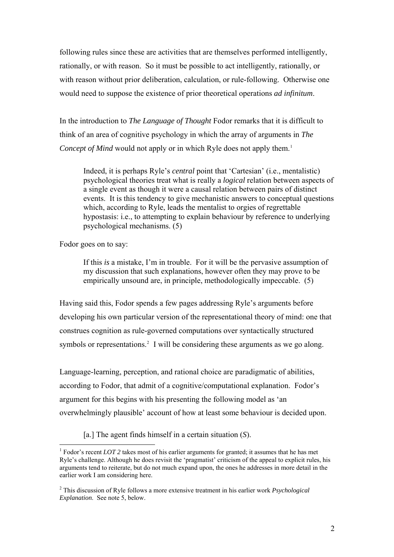following rules since these are activities that are themselves performed intelligently, rationally, or with reason. So it must be possible to act intelligently, rationally, or with reason without prior deliberation, calculation, or rule-following. Otherwise one would need to suppose the existence of prior theoretical operations *ad infinitum*.

In the introduction to *The Language of Thought* Fodor remarks that it is difficult to think of an area of cognitive psychology in which the array of arguments in *The Concept of Mind* would not apply or in which Ryle does not apply them.<sup>[1](#page-1-0)</sup>

Indeed, it is perhaps Ryle's *central* point that 'Cartesian' (i.e., mentalistic) psychological theories treat what is really a *logical* relation between aspects of a single event as though it were a causal relation between pairs of distinct events. It is this tendency to give mechanistic answers to conceptual questions which, according to Ryle, leads the mentalist to orgies of regrettable hypostasis: i.e., to attempting to explain behaviour by reference to underlying psychological mechanisms. (5)

Fodor goes on to say:

ı

If this *is* a mistake, I'm in trouble. For it will be the pervasive assumption of my discussion that such explanations, however often they may prove to be empirically unsound are, in principle, methodologically impeccable. (5)

Having said this, Fodor spends a few pages addressing Ryle's arguments before developing his own particular version of the representational theory of mind: one that construes cognition as rule-governed computations over syntactically structured symbols or representations.<sup>[2](#page-1-1)</sup> I will be considering these arguments as we go along.

Language-learning, perception, and rational choice are paradigmatic of abilities, according to Fodor, that admit of a cognitive/computational explanation. Fodor's argument for this begins with his presenting the following model as 'an overwhelmingly plausible' account of how at least some behaviour is decided upon.

[a.] The agent finds himself in a certain situation (*S*).

<sup>&</sup>lt;sup>1</sup> Fodor's recent *LOT* 2 takes most of his earlier arguments for granted; it assumes that he has met Ryle's challenge. Although he does revisit the 'pragmatist' criticism of the appeal to explicit rules, his arguments tend to reiterate, but do not much expand upon, the ones he addresses in more detail in the earlier work I am considering here.

<span id="page-2-0"></span><sup>2</sup> This discussion of Ryle follows a more extensive treatment in his earlier work *Psychological Explanation*. See note 5, below.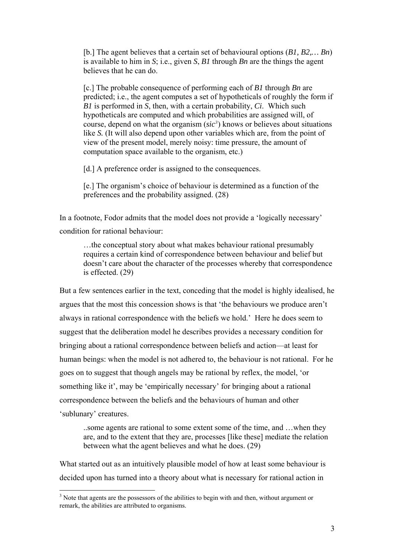[b.] The agent believes that a certain set of behavioural options (*B1, B2,… Bn*) is available to him in *S*; i.e., given *S*, *B1* through *Bn* are the things the agent believes that he can do.

[c.] The probable consequence of performing each of *B1* through *Bn* are predicted; i.e., the agent computes a set of hypotheticals of roughly the form if *B1* is performed in *S*, then, with a certain probability, *Ci*. Which such hypotheticals are computed and which probabilities are assigned will, of course, depend on what the organism (*sic[3](#page-2-0)* ) knows or believes about situations like *S.* (It will also depend upon other variables which are, from the point of view of the present model, merely noisy: time pressure, the amount of computation space available to the organism, etc.)

[d.] A preference order is assigned to the consequences.

[e.] The organism's choice of behaviour is determined as a function of the preferences and the probability assigned. (28)

In a footnote, Fodor admits that the model does not provide a 'logically necessary' condition for rational behaviour:

…the conceptual story about what makes behaviour rational presumably requires a certain kind of correspondence between behaviour and belief but doesn't care about the character of the processes whereby that correspondence is effected. (29)

But a few sentences earlier in the text, conceding that the model is highly idealised, he argues that the most this concession shows is that 'the behaviours we produce aren't always in rational correspondence with the beliefs we hold.' Here he does seem to suggest that the deliberation model he describes provides a necessary condition for bringing about a rational correspondence between beliefs and action—at least for human beings: when the model is not adhered to, the behaviour is not rational. For he goes on to suggest that though angels may be rational by reflex, the model, 'or something like it', may be 'empirically necessary' for bringing about a rational correspondence between the beliefs and the behaviours of human and other 'sublunary' creatures.

..some agents are rational to some extent some of the time, and …when they are, and to the extent that they are, processes [like these] mediate the relation between what the agent believes and what he does. (29)

What started out as an intuitively plausible model of how at least some behaviour is decided upon has turned into a theory about what is necessary for rational action in

 $3$  Note that agents are the possessors of the abilities to begin with and then, without argument or remark, the abilities are attributed to organisms.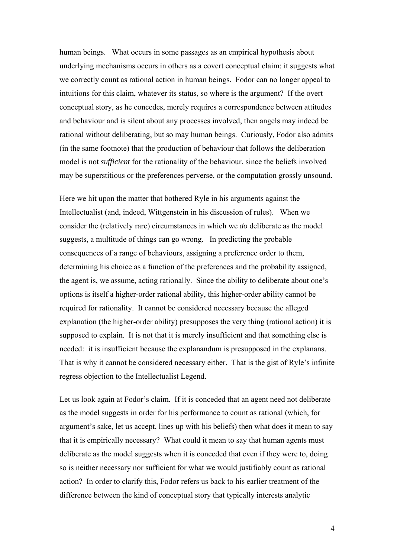human beings. What occurs in some passages as an empirical hypothesis about underlying mechanisms occurs in others as a covert conceptual claim: it suggests what we correctly count as rational action in human beings. Fodor can no longer appeal to intuitions for this claim, whatever its status, so where is the argument? If the overt conceptual story, as he concedes, merely requires a correspondence between attitudes and behaviour and is silent about any processes involved, then angels may indeed be rational without deliberating, but so may human beings. Curiously, Fodor also admits (in the same footnote) that the production of behaviour that follows the deliberation model is not *sufficient* for the rationality of the behaviour, since the beliefs involved may be superstitious or the preferences perverse, or the computation grossly unsound.

Here we hit upon the matter that bothered Ryle in his arguments against the Intellectualist (and, indeed, Wittgenstein in his discussion of rules). When we consider the (relatively rare) circumstances in which we *do* deliberate as the model suggests, a multitude of things can go wrong. In predicting the probable consequences of a range of behaviours, assigning a preference order to them, determining his choice as a function of the preferences and the probability assigned, the agent is, we assume, acting rationally. Since the ability to deliberate about one's options is itself a higher-order rational ability, this higher-order ability cannot be required for rationality. It cannot be considered necessary because the alleged explanation (the higher-order ability) presupposes the very thing (rational action) it is supposed to explain. It is not that it is merely insufficient and that something else is needed: it is insufficient because the explanandum is presupposed in the explanans. That is why it cannot be considered necessary either. That is the gist of Ryle's infinite regress objection to the Intellectualist Legend.

Let us look again at Fodor's claim. If it is conceded that an agent need not deliberate as the model suggests in order for his performance to count as rational (which, for argument's sake, let us accept, lines up with his beliefs) then what does it mean to say that it is empirically necessary? What could it mean to say that human agents must deliberate as the model suggests when it is conceded that even if they were to, doing so is neither necessary nor sufficient for what we would justifiably count as rational action? In order to clarify this, Fodor refers us back to his earlier treatment of the difference between the kind of conceptual story that typically interests analytic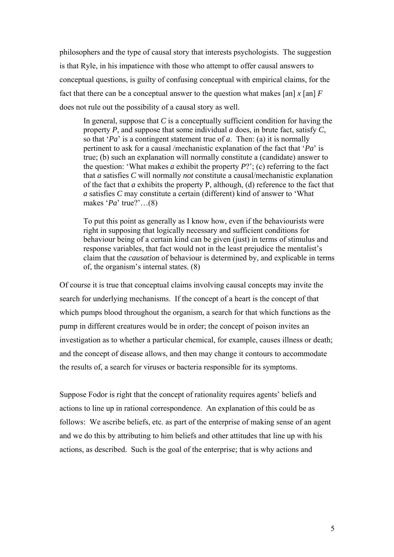philosophers and the type of causal story that interests psychologists. The suggestion is that Ryle, in his impatience with those who attempt to offer causal answers to conceptual questions, is guilty of confusing conceptual with empirical claims, for the fact that there can be a conceptual answer to the question what makes  $\lceil \text{an} \rceil x \lceil \text{an} \rceil F$ does not rule out the possibility of a causal story as well.

In general, suppose that *C* is a conceptually sufficient condition for having the property *P*, and suppose that some individual *a* does, in brute fact, satisfy *C*, so that '*Pa*' is a contingent statement true of *a*. Then: (a) it is normally pertinent to ask for a causal /mechanistic explanation of the fact that '*Pa*' is true; (b) such an explanation will normally constitute a (candidate) answer to the question: 'What makes *a* exhibit the property *P*?'; (c) referring to the fact that *a* satisfies *C* will normally *not* constitute a causal/mechanistic explanation of the fact that *a* exhibits the property P, although, (d) reference to the fact that *a* satisfies *C* may constitute a certain (different) kind of answer to 'What makes '*Pa*' true?'…(8)

To put this point as generally as I know how, even if the behaviourists were right in supposing that logically necessary and sufficient conditions for behaviour being of a certain kind can be given (just) in terms of stimulus and response variables, that fact would not in the least prejudice the mentalist's claim that the *causation* of behaviour is determined by, and explicable in terms of, the organism's internal states. (8)

Of course it is true that conceptual claims involving causal concepts may invite the search for underlying mechanisms. If the concept of a heart is the concept of that which pumps blood throughout the organism, a search for that which functions as the pump in different creatures would be in order; the concept of poison invites an investigation as to whether a particular chemical, for example, causes illness or death; and the concept of disease allows, and then may change it contours to accommodate the results of, a search for viruses or bacteria responsible for its symptoms.

<span id="page-5-0"></span>Suppose Fodor is right that the concept of rationality requires agents' beliefs and actions to line up in rational correspondence. An explanation of this could be as follows: We ascribe beliefs, etc. as part of the enterprise of making sense of an agent and we do this by attributing to him beliefs and other attitudes that line up with his actions, as described. Such is the goal of the enterprise; that is why actions and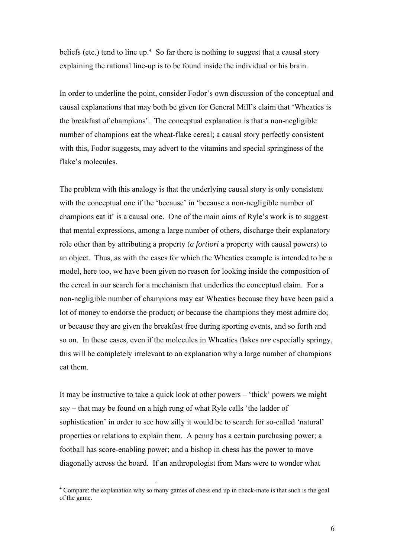beliefs (etc.) tend to line up.<sup>[4](#page-5-0)</sup> So far there is nothing to suggest that a causal story explaining the rational line-up is to be found inside the individual or his brain.

In order to underline the point, consider Fodor's own discussion of the conceptual and causal explanations that may both be given for General Mill's claim that 'Wheaties is the breakfast of champions'. The conceptual explanation is that a non-negligible number of champions eat the wheat-flake cereal; a causal story perfectly consistent with this, Fodor suggests, may advert to the vitamins and special springiness of the flake's molecules.

The problem with this analogy is that the underlying causal story is only consistent with the conceptual one if the 'because' in 'because a non-negligible number of champions eat it' is a causal one. One of the main aims of Ryle's work is to suggest that mental expressions, among a large number of others, discharge their explanatory role other than by attributing a property (*a fortiori* a property with causal powers) to an object. Thus, as with the cases for which the Wheaties example is intended to be a model, here too, we have been given no reason for looking inside the composition of the cereal in our search for a mechanism that underlies the conceptual claim. For a non-negligible number of champions may eat Wheaties because they have been paid a lot of money to endorse the product; or because the champions they most admire do; or because they are given the breakfast free during sporting events, and so forth and so on. In these cases, even if the molecules in Wheaties flakes *are* especially springy, this will be completely irrelevant to an explanation why a large number of champions eat them.

It may be instructive to take a quick look at other powers – 'thick' powers we might say – that may be found on a high rung of what Ryle calls 'the ladder of sophistication' in order to see how silly it would be to search for so-called 'natural' properties or relations to explain them. A penny has a certain purchasing power; a football has score-enabling power; and a bishop in chess has the power to move diagonally across the board. If an anthropologist from Mars were to wonder what

<sup>&</sup>lt;sup>4</sup> Compare: the explanation why so many games of chess end up in check-mate is that such is the goal of the game.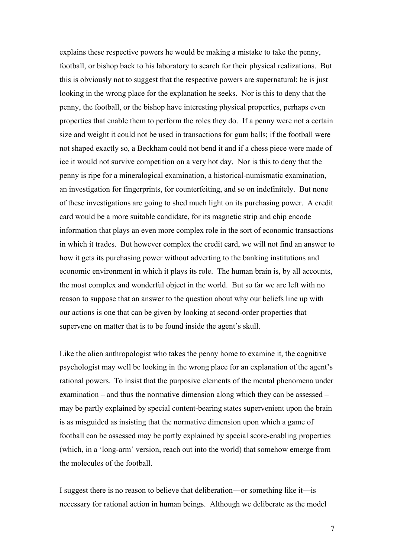explains these respective powers he would be making a mistake to take the penny, football, or bishop back to his laboratory to search for their physical realizations. But this is obviously not to suggest that the respective powers are supernatural: he is just looking in the wrong place for the explanation he seeks. Nor is this to deny that the penny, the football, or the bishop have interesting physical properties, perhaps even properties that enable them to perform the roles they do. If a penny were not a certain size and weight it could not be used in transactions for gum balls; if the football were not shaped exactly so, a Beckham could not bend it and if a chess piece were made of ice it would not survive competition on a very hot day. Nor is this to deny that the penny is ripe for a mineralogical examination, a historical-numismatic examination, an investigation for fingerprints, for counterfeiting, and so on indefinitely. But none of these investigations are going to shed much light on its purchasing power. A credit card would be a more suitable candidate, for its magnetic strip and chip encode information that plays an even more complex role in the sort of economic transactions in which it trades. But however complex the credit card, we will not find an answer to how it gets its purchasing power without adverting to the banking institutions and economic environment in which it plays its role. The human brain is, by all accounts, the most complex and wonderful object in the world. But so far we are left with no reason to suppose that an answer to the question about why our beliefs line up with our actions is one that can be given by looking at second-order properties that supervene on matter that is to be found inside the agent's skull.

<span id="page-7-0"></span>Like the alien anthropologist who takes the penny home to examine it, the cognitive psychologist may well be looking in the wrong place for an explanation of the agent's rational powers. To insist that the purposive elements of the mental phenomena under examination – and thus the normative dimension along which they can be assessed – may be partly explained by special content-bearing states supervenient upon the brain is as misguided as insisting that the normative dimension upon which a game of football can be assessed may be partly explained by special score-enabling properties (which, in a 'long-arm' version, reach out into the world) that somehow emerge from the molecules of the football.

I suggest there is no reason to believe that deliberation—or something like it—is necessary for rational action in human beings. Although we deliberate as the model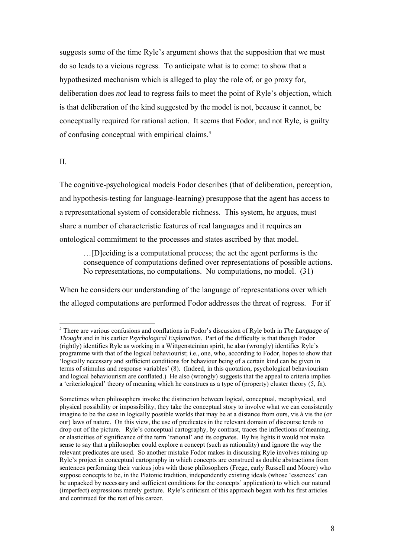suggests some of the time Ryle's argument shows that the supposition that we must do so leads to a vicious regress. To anticipate what is to come: to show that a hypothesized mechanism which is alleged to play the role of, or go proxy for, deliberation does *not* lead to regress fails to meet the point of Ryle's objection, which is that deliberation of the kind suggested by the model is not, because it cannot, be conceptually required for rational action. It seems that Fodor, and not Ryle, is guilty of confusing conceptual with empirical claims.<sup>[5](#page-7-0)</sup>

II.

ı

The cognitive-psychological models Fodor describes (that of deliberation, perception, and hypothesis-testing for language-learning) presuppose that the agent has access to a representational system of considerable richness. This system, he argues, must share a number of characteristic features of real languages and it requires an ontological commitment to the processes and states ascribed by that model.

…[D]eciding is a computational process; the act the agent performs is the consequence of computations defined over representations of possible actions. No representations, no computations. No computations, no model. (31)

When he considers our understanding of the language of representations over which the alleged computations are performed Fodor addresses the threat of regress. For if

<sup>5</sup> There are various confusions and conflations in Fodor's discussion of Ryle both in *The Language of Thought* and in his earlier *Psychological Explanation*. Part of the difficulty is that though Fodor (rightly) identifies Ryle as working in a Wittgensteinian spirit, he also (wrongly) identifies Ryle's programme with that of the logical behaviourist; i.e., one, who, according to Fodor, hopes to show that 'logically necessary and sufficient conditions for behaviour being of a certain kind can be given in terms of stimulus and response variables' (8). (Indeed, in this quotation, psychological behaviourism and logical behaviourism are conflated.) He also (wrongly) suggests that the appeal to criteria implies a 'criteriological' theory of meaning which he construes as a type of (property) cluster theory (5, fn).

Sometimes when philosophers invoke the distinction between logical, conceptual, metaphysical, and physical possibility or impossibility, they take the conceptual story to involve what we can consistently imagine to be the case in logically possible worlds that may be at a distance from ours, vis à vis the (or our) laws of nature. On this view, the use of predicates in the relevant domain of discourse tends to drop out of the picture. Ryle's conceptual cartography, by contrast, traces the inflections of meaning, or elasticities of significance of the term 'rational' and its cognates. By his lights it would not make sense to say that a philosopher could explore a concept (such as rationality) and ignore the way the relevant predicates are used. So another mistake Fodor makes in discussing Ryle involves mixing up Ryle's project in conceptual cartography in which concepts are construed as double abstractions from sentences performing their various jobs with those philosophers (Frege, early Russell and Moore) who suppose concepts to be, in the Platonic tradition, independently existing ideals (whose 'essences' can be unpacked by necessary and sufficient conditions for the concepts' application) to which our natural (imperfect) expressions merely gesture. Ryle's criticism of this approach began with his first articles and continued for the rest of his career.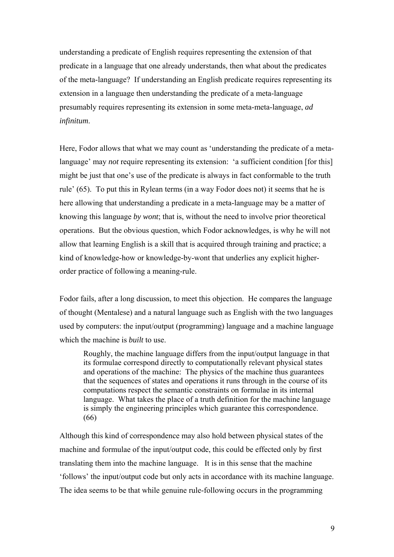understanding a predicate of English requires representing the extension of that predicate in a language that one already understands, then what about the predicates of the meta-language? If understanding an English predicate requires representing its extension in a language then understanding the predicate of a meta-language presumably requires representing its extension in some meta-meta-language, *ad infinitum*.

Here, Fodor allows that what we may count as 'understanding the predicate of a metalanguage' may *not* require representing its extension: 'a sufficient condition [for this] might be just that one's use of the predicate is always in fact conformable to the truth rule' (65). To put this in Rylean terms (in a way Fodor does not) it seems that he is here allowing that understanding a predicate in a meta-language may be a matter of knowing this language *by wont*; that is, without the need to involve prior theoretical operations. But the obvious question, which Fodor acknowledges, is why he will not allow that learning English is a skill that is acquired through training and practice; a kind of knowledge-how or knowledge-by-wont that underlies any explicit higherorder practice of following a meaning-rule.

Fodor fails, after a long discussion, to meet this objection. He compares the language of thought (Mentalese) and a natural language such as English with the two languages used by computers: the input/output (programming) language and a machine language which the machine is *built* to use.

Roughly, the machine language differs from the input/output language in that its formulae correspond directly to computationally relevant physical states and operations of the machine: The physics of the machine thus guarantees that the sequences of states and operations it runs through in the course of its computations respect the semantic constraints on formulae in its internal language. What takes the place of a truth definition for the machine language is simply the engineering principles which guarantee this correspondence. (66)

Although this kind of correspondence may also hold between physical states of the machine and formulae of the input/output code, this could be effected only by first translating them into the machine language. It is in this sense that the machine 'follows' the input/output code but only acts in accordance with its machine language. The idea seems to be that while genuine rule-following occurs in the programming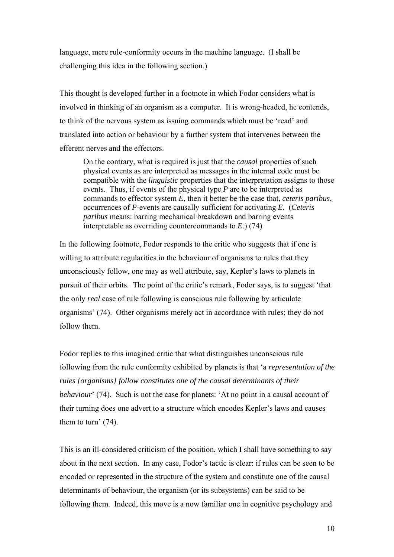language, mere rule-conformity occurs in the machine language. (I shall be challenging this idea in the following section.)

This thought is developed further in a footnote in which Fodor considers what is involved in thinking of an organism as a computer. It is wrong-headed, he contends, to think of the nervous system as issuing commands which must be 'read' and translated into action or behaviour by a further system that intervenes between the efferent nerves and the effectors.

On the contrary, what is required is just that the *causal* properties of such physical events as are interpreted as messages in the internal code must be compatible with the *linguistic* properties that the interpretation assigns to those events. Thus, if events of the physical type *P* are to be interpreted as commands to effector system *E*, then it better be the case that, *ceteris paribus*, occurrences of *P*-events are causally sufficient for activating *E*. (*Ceteris paribus* means: barring mechanical breakdown and barring events interpretable as overriding countercommands to *E*.) (74)

In the following footnote, Fodor responds to the critic who suggests that if one is willing to attribute regularities in the behaviour of organisms to rules that they unconsciously follow, one may as well attribute, say, Kepler's laws to planets in pursuit of their orbits. The point of the critic's remark, Fodor says, is to suggest 'that the only *real* case of rule following is conscious rule following by articulate organisms' (74). Other organisms merely act in accordance with rules; they do not follow them.

Fodor replies to this imagined critic that what distinguishes unconscious rule following from the rule conformity exhibited by planets is that 'a *representation of the rules [organisms] follow constitutes one of the causal determinants of their behaviour*' (74). Such is not the case for planets: 'At no point in a causal account of their turning does one advert to a structure which encodes Kepler's laws and causes them to turn' (74).

<span id="page-10-0"></span>This is an ill-considered criticism of the position, which I shall have something to say about in the next section. In any case, Fodor's tactic is clear: if rules can be seen to be encoded or represented in the structure of the system and constitute one of the causal determinants of behaviour, the organism (or its subsystems) can be said to be following them. Indeed, this move is a now familiar one in cognitive psychology and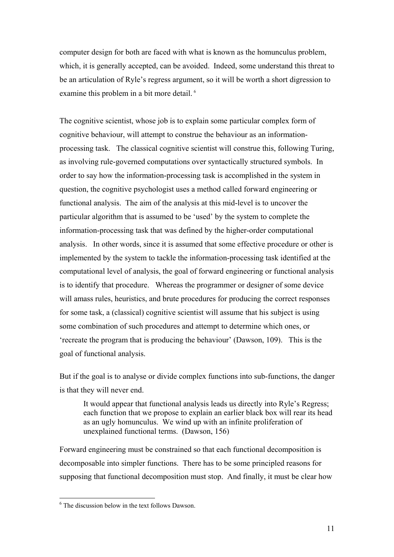computer design for both are faced with what is known as the homunculus problem, which, it is generally accepted, can be avoided. Indeed, some understand this threat to be an articulation of Ryle's regress argument, so it will be worth a short digression to examine this problem in a bit more detail.<sup>[6](#page-10-0)</sup>

The cognitive scientist, whose job is to explain some particular complex form of cognitive behaviour, will attempt to construe the behaviour as an informationprocessing task. The classical cognitive scientist will construe this, following Turing, as involving rule-governed computations over syntactically structured symbols. In order to say how the information-processing task is accomplished in the system in question, the cognitive psychologist uses a method called forward engineering or functional analysis. The aim of the analysis at this mid-level is to uncover the particular algorithm that is assumed to be 'used' by the system to complete the information-processing task that was defined by the higher-order computational analysis. In other words, since it is assumed that some effective procedure or other is implemented by the system to tackle the information-processing task identified at the computational level of analysis, the goal of forward engineering or functional analysis is to identify that procedure. Whereas the programmer or designer of some device will amass rules, heuristics, and brute procedures for producing the correct responses for some task, a (classical) cognitive scientist will assume that his subject is using some combination of such procedures and attempt to determine which ones, or 'recreate the program that is producing the behaviour' (Dawson, 109). This is the goal of functional analysis.

But if the goal is to analyse or divide complex functions into sub-functions, the danger is that they will never end.

It would appear that functional analysis leads us directly into Ryle's Regress; each function that we propose to explain an earlier black box will rear its head as an ugly homunculus. We wind up with an infinite proliferation of unexplained functional terms. (Dawson, 156)

Forward engineering must be constrained so that each functional decomposition is decomposable into simpler functions. There has to be some principled reasons for supposing that functional decomposition must stop. And finally, it must be clear how

l<br>L

<sup>6</sup> The discussion below in the text follows Dawson.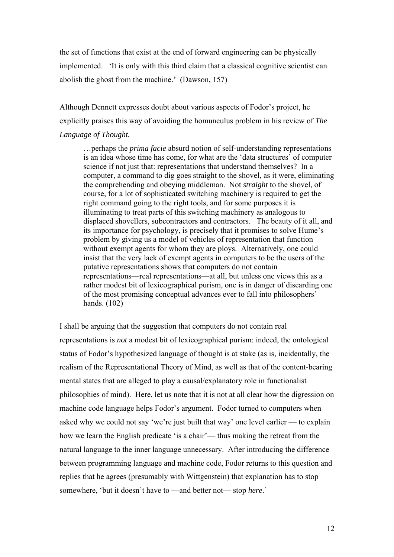the set of functions that exist at the end of forward engineering can be physically implemented. 'It is only with this third claim that a classical cognitive scientist can abolish the ghost from the machine.' (Dawson, 157)

Although Dennett expresses doubt about various aspects of Fodor's project, he explicitly praises this way of avoiding the homunculus problem in his review of *The Language of Thought.*

…perhaps the *prima facie* absurd notion of self-understanding representations is an idea whose time has come, for what are the 'data structures' of computer science if not just that: representations that understand themselves? In a computer, a command to dig goes straight to the shovel, as it were, eliminating the comprehending and obeying middleman. Not *straight* to the shovel, of course, for a lot of sophisticated switching machinery is required to get the right command going to the right tools, and for some purposes it is illuminating to treat parts of this switching machinery as analogous to displaced shovellers, subcontractors and contractors. The beauty of it all, and its importance for psychology, is precisely that it promises to solve Hume's problem by giving us a model of vehicles of representation that function without exempt agents for whom they are ploys. Alternatively, one could insist that the very lack of exempt agents in computers to be the users of the putative representations shows that computers do not contain representations—real representations—at all, but unless one views this as a rather modest bit of lexicographical purism, one is in danger of discarding one of the most promising conceptual advances ever to fall into philosophers' hands. (102)

I shall be arguing that the suggestion that computers do not contain real representations is *not* a modest bit of lexicographical purism: indeed, the ontological status of Fodor's hypothesized language of thought is at stake (as is, incidentally, the realism of the Representational Theory of Mind, as well as that of the content-bearing mental states that are alleged to play a causal/explanatory role in functionalist philosophies of mind). Here, let us note that it is not at all clear how the digression on machine code language helps Fodor's argument. Fodor turned to computers when asked why we could not say 'we're just built that way' one level earlier — to explain how we learn the English predicate 'is a chair'— thus making the retreat from the natural language to the inner language unnecessary. After introducing the difference between programming language and machine code, Fodor returns to this question and replies that he agrees (presumably with Wittgenstein) that explanation has to stop somewhere, 'but it doesn't have to —and better not— stop *here*.'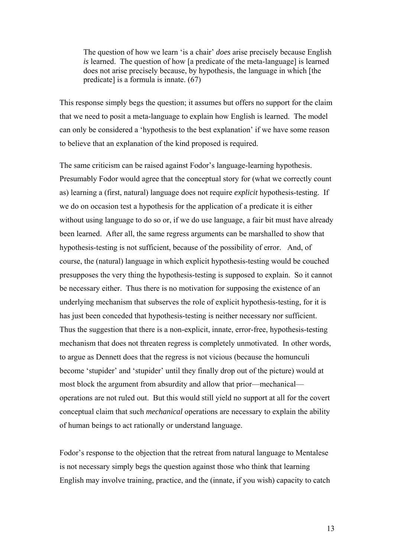The question of how we learn 'is a chair' *does* arise precisely because English *is learned.* The question of how [a predicate of the meta-language] is learned does not arise precisely because, by hypothesis, the language in which [the predicate] is a formula is innate. (67)

This response simply begs the question; it assumes but offers no support for the claim that we need to posit a meta-language to explain how English is learned. The model can only be considered a 'hypothesis to the best explanation' if we have some reason to believe that an explanation of the kind proposed is required.

The same criticism can be raised against Fodor's language-learning hypothesis. Presumably Fodor would agree that the conceptual story for (what we correctly count as) learning a (first, natural) language does not require *explicit* hypothesis-testing. If we do on occasion test a hypothesis for the application of a predicate it is either without using language to do so or, if we do use language, a fair bit must have already been learned. After all, the same regress arguments can be marshalled to show that hypothesis-testing is not sufficient, because of the possibility of error. And, of course, the (natural) language in which explicit hypothesis-testing would be couched presupposes the very thing the hypothesis-testing is supposed to explain. So it cannot be necessary either. Thus there is no motivation for supposing the existence of an underlying mechanism that subserves the role of explicit hypothesis-testing, for it is has just been conceded that hypothesis-testing is neither necessary nor sufficient. Thus the suggestion that there is a non-explicit, innate, error-free, hypothesis-testing mechanism that does not threaten regress is completely unmotivated. In other words, to argue as Dennett does that the regress is not vicious (because the homunculi become 'stupider' and 'stupider' until they finally drop out of the picture) would at most block the argument from absurdity and allow that prior—mechanical operations are not ruled out. But this would still yield no support at all for the covert conceptual claim that such *mechanical* operations are necessary to explain the ability of human beings to act rationally or understand language.

<span id="page-13-0"></span>Fodor's response to the objection that the retreat from natural language to Mentalese is not necessary simply begs the question against those who think that learning English may involve training, practice, and the (innate, if you wish) capacity to catch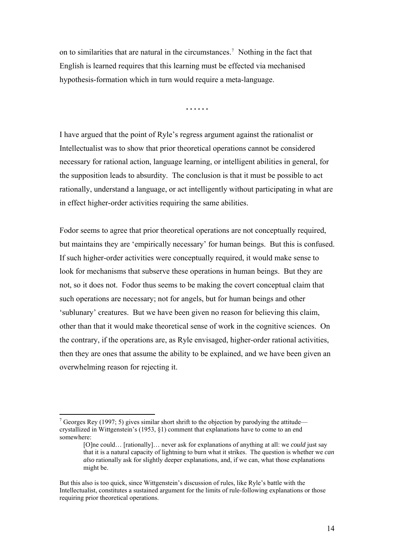on to similarities that are natural in the circumstances.[7](#page-13-0) Nothing in the fact that English is learned requires that this learning must be effected via mechanised hypothesis-formation which in turn would require a meta-language.

**. . . . . .** 

I have argued that the point of Ryle's regress argument against the rationalist or Intellectualist was to show that prior theoretical operations cannot be considered necessary for rational action, language learning, or intelligent abilities in general, for the supposition leads to absurdity. The conclusion is that it must be possible to act rationally, understand a language, or act intelligently without participating in what are in effect higher-order activities requiring the same abilities.

Fodor seems to agree that prior theoretical operations are not conceptually required, but maintains they are 'empirically necessary' for human beings. But this is confused. If such higher-order activities were conceptually required, it would make sense to look for mechanisms that subserve these operations in human beings. But they are not, so it does not. Fodor thus seems to be making the covert conceptual claim that such operations are necessary; not for angels, but for human beings and other 'sublunary' creatures. But we have been given no reason for believing this claim, other than that it would make theoretical sense of work in the cognitive sciences. On the contrary, if the operations are, as Ryle envisaged, higher-order rational activities, then they are ones that assume the ability to be explained, and we have been given an overwhelming reason for rejecting it.

 $7$  Georges Rey (1997; 5) gives similar short shrift to the objection by parodying the attitude crystallized in Wittgenstein's (1953, §1) comment that explanations have to come to an end somewhere:

<sup>[</sup>O]ne could… [rationally]… never ask for explanations of anything at all: we *could* just say that it is a natural capacity of lightning to burn what it strikes. The question is whether we *can also* rationally ask for slightly deeper explanations, and, if we can, what those explanations might be.

<span id="page-14-0"></span>But this also is too quick, since Wittgenstein's discussion of rules, like Ryle's battle with the Intellectualist, constitutes a sustained argument for the limits of rule-following explanations or those requiring prior theoretical operations.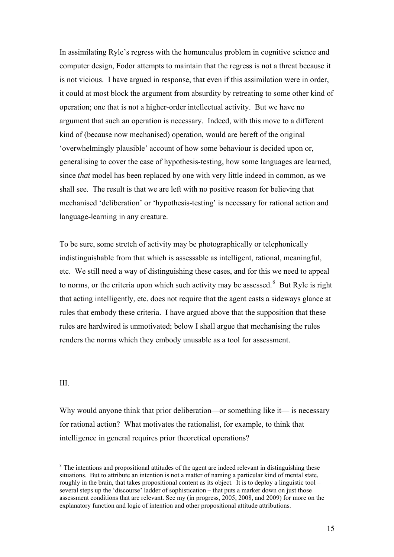In assimilating Ryle's regress with the homunculus problem in cognitive science and computer design, Fodor attempts to maintain that the regress is not a threat because it is not vicious. I have argued in response, that even if this assimilation were in order, it could at most block the argument from absurdity by retreating to some other kind of operation; one that is not a higher-order intellectual activity. But we have no argument that such an operation is necessary. Indeed, with this move to a different kind of (because now mechanised) operation, would are bereft of the original 'overwhelmingly plausible' account of how some behaviour is decided upon or, generalising to cover the case of hypothesis-testing, how some languages are learned, since *that* model has been replaced by one with very little indeed in common, as we shall see. The result is that we are left with no positive reason for believing that mechanised 'deliberation' or 'hypothesis-testing' is necessary for rational action and language-learning in any creature.

To be sure, some stretch of activity may be photographically or telephonically indistinguishable from that which is assessable as intelligent, rational, meaningful, etc. We still need a way of distinguishing these cases, and for this we need to appeal to norms, or the criteria upon which such activity may be assessed. $8$  But Ryle is right that acting intelligently, etc. does not require that the agent casts a sideways glance at rules that embody these criteria. I have argued above that the supposition that these rules are hardwired is unmotivated; below I shall argue that mechanising the rules renders the norms which they embody unusable as a tool for assessment.

## III.

ı

Why would anyone think that prior deliberation—or something like it— is necessary for rational action? What motivates the rationalist, for example, to think that intelligence in general requires prior theoretical operations?

 $8$  The intentions and propositional attitudes of the agent are indeed relevant in distinguishing these situations. But to attribute an intention is not a matter of naming a particular kind of mental state, roughly in the brain, that takes propositional content as its object. It is to deploy a linguistic tool – several steps up the 'discourse' ladder of sophistication – that puts a marker down on just those assessment conditions that are relevant. See my (in progress, 2005, 2008, and 2009) for more on the explanatory function and logic of intention and other propositional attitude attributions.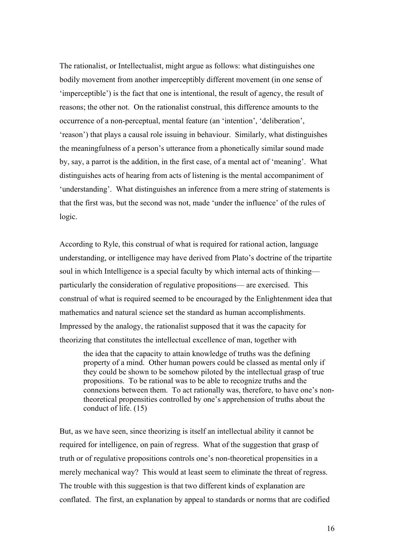The rationalist, or Intellectualist, might argue as follows: what distinguishes one bodily movement from another imperceptibly different movement (in one sense of 'imperceptible') is the fact that one is intentional, the result of agency, the result of reasons; the other not. On the rationalist construal, this difference amounts to the occurrence of a non-perceptual, mental feature (an 'intention', 'deliberation', 'reason') that plays a causal role issuing in behaviour. Similarly, what distinguishes the meaningfulness of a person's utterance from a phonetically similar sound made by, say, a parrot is the addition, in the first case, of a mental act of 'meaning'. What distinguishes acts of hearing from acts of listening is the mental accompaniment of 'understanding'. What distinguishes an inference from a mere string of statements is that the first was, but the second was not, made 'under the influence' of the rules of logic.

According to Ryle, this construal of what is required for rational action, language understanding, or intelligence may have derived from Plato's doctrine of the tripartite soul in which Intelligence is a special faculty by which internal acts of thinking particularly the consideration of regulative propositions— are exercised. This construal of what is required seemed to be encouraged by the Enlightenment idea that mathematics and natural science set the standard as human accomplishments. Impressed by the analogy, the rationalist supposed that it was the capacity for theorizing that constitutes the intellectual excellence of man, together with

the idea that the capacity to attain knowledge of truths was the defining property of a mind. Other human powers could be classed as mental only if they could be shown to be somehow piloted by the intellectual grasp of true propositions. To be rational was to be able to recognize truths and the connexions between them. To act rationally was, therefore, to have one's nontheoretical propensities controlled by one's apprehension of truths about the conduct of life. (15)

But, as we have seen, since theorizing is itself an intellectual ability it cannot be required for intelligence, on pain of regress. What of the suggestion that grasp of truth or of regulative propositions controls one's non-theoretical propensities in a merely mechanical way? This would at least seem to eliminate the threat of regress. The trouble with this suggestion is that two different kinds of explanation are conflated. The first, an explanation by appeal to standards or norms that are codified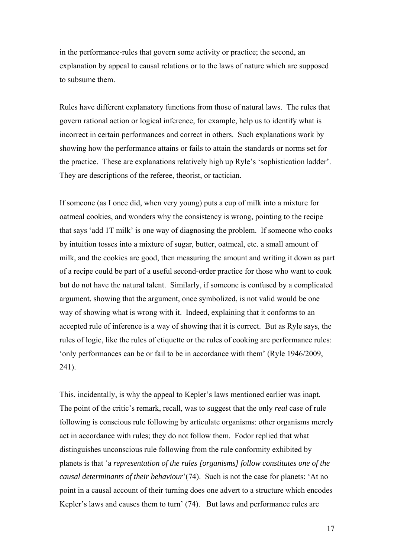in the performance-rules that govern some activity or practice; the second, an explanation by appeal to causal relations or to the laws of nature which are supposed to subsume them.

Rules have different explanatory functions from those of natural laws. The rules that govern rational action or logical inference, for example, help us to identify what is incorrect in certain performances and correct in others. Such explanations work by showing how the performance attains or fails to attain the standards or norms set for the practice. These are explanations relatively high up Ryle's 'sophistication ladder'. They are descriptions of the referee, theorist, or tactician.

If someone (as I once did, when very young) puts a cup of milk into a mixture for oatmeal cookies, and wonders why the consistency is wrong, pointing to the recipe that says 'add 1T milk' is one way of diagnosing the problem. If someone who cooks by intuition tosses into a mixture of sugar, butter, oatmeal, etc. a small amount of milk, and the cookies are good, then measuring the amount and writing it down as part of a recipe could be part of a useful second-order practice for those who want to cook but do not have the natural talent. Similarly, if someone is confused by a complicated argument, showing that the argument, once symbolized, is not valid would be one way of showing what is wrong with it. Indeed, explaining that it conforms to an accepted rule of inference is a way of showing that it is correct. But as Ryle says, the rules of logic, like the rules of etiquette or the rules of cooking are performance rules: 'only performances can be or fail to be in accordance with them' (Ryle 1946/2009, 241).

This, incidentally, is why the appeal to Kepler's laws mentioned earlier was inapt. The point of the critic's remark, recall, was to suggest that the only *real* case of rule following is conscious rule following by articulate organisms: other organisms merely act in accordance with rules; they do not follow them. Fodor replied that what distinguishes unconscious rule following from the rule conformity exhibited by planets is that 'a *representation of the rules [organisms] follow constitutes one of the causal determinants of their behaviour*'(74). Such is not the case for planets: 'At no point in a causal account of their turning does one advert to a structure which encodes Kepler's laws and causes them to turn' (74). But laws and performance rules are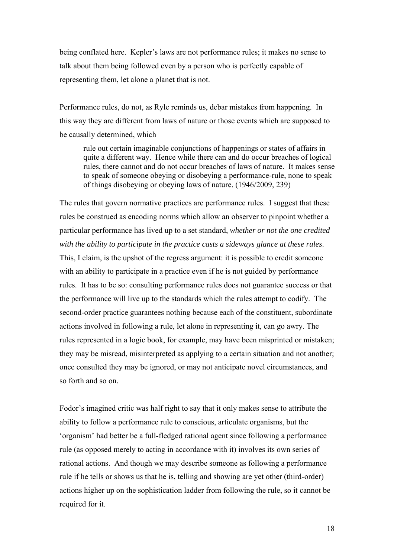being conflated here. Kepler's laws are not performance rules; it makes no sense to talk about them being followed even by a person who is perfectly capable of representing them, let alone a planet that is not.

Performance rules, do not, as Ryle reminds us, debar mistakes from happening. In this way they are different from laws of nature or those events which are supposed to be causally determined, which

rule out certain imaginable conjunctions of happenings or states of affairs in quite a different way. Hence while there can and do occur breaches of logical rules, there cannot and do not occur breaches of laws of nature. It makes sense to speak of someone obeying or disobeying a performance-rule, none to speak of things disobeying or obeying laws of nature. (1946/2009, 239)

The rules that govern normative practices are performance rules. I suggest that these rules be construed as encoding norms which allow an observer to pinpoint whether a particular performance has lived up to a set standard, *whether or not the one credited with the ability to participate in the practice casts a sideways glance at these rules*. This, I claim, is the upshot of the regress argument: it is possible to credit someone with an ability to participate in a practice even if he is not guided by performance rules. It has to be so: consulting performance rules does not guarantee success or that the performance will live up to the standards which the rules attempt to codify. The second-order practice guarantees nothing because each of the constituent, subordinate actions involved in following a rule, let alone in representing it, can go awry. The rules represented in a logic book, for example, may have been misprinted or mistaken; they may be misread, misinterpreted as applying to a certain situation and not another; once consulted they may be ignored, or may not anticipate novel circumstances, and so forth and so on.

<span id="page-18-1"></span><span id="page-18-0"></span>Fodor's imagined critic was half right to say that it only makes sense to attribute the ability to follow a performance rule to conscious, articulate organisms, but the 'organism' had better be a full-fledged rational agent since following a performance rule (as opposed merely to acting in accordance with it) involves its own series of rational actions. And though we may describe someone as following a performance rule if he tells or shows us that he is, telling and showing are yet other (third-order) actions higher up on the sophistication ladder from following the rule, so it cannot be required for it.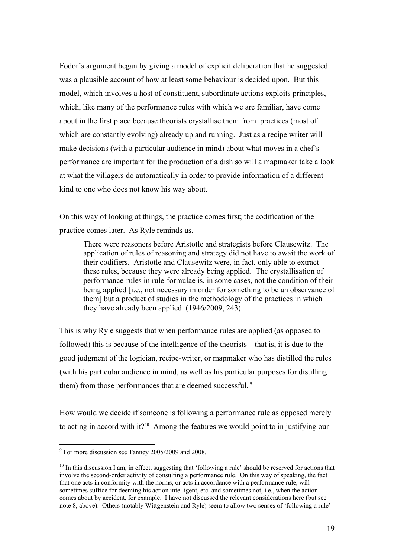Fodor's argument began by giving a model of explicit deliberation that he suggested was a plausible account of how at least some behaviour is decided upon. But this model, which involves a host of constituent, subordinate actions exploits principles, which, like many of the performance rules with which we are familiar, have come about in the first place because theorists crystallise them from practices (most of which are constantly evolving) already up and running. Just as a recipe writer will make decisions (with a particular audience in mind) about what moves in a chef's performance are important for the production of a dish so will a mapmaker take a look at what the villagers do automatically in order to provide information of a different kind to one who does not know his way about.

On this way of looking at things, the practice comes first; the codification of the practice comes later. As Ryle reminds us,

There were reasoners before Aristotle and strategists before Clausewitz. The application of rules of reasoning and strategy did not have to await the work of their codifiers. Aristotle and Clausewitz were, in fact, only able to extract these rules, because they were already being applied. The crystallisation of performance-rules in rule-formulae is, in some cases, not the condition of their being applied [i.e., not necessary in order for something to be an observance of them] but a product of studies in the methodology of the practices in which they have already been applied. (1946/2009, 243)

This is why Ryle suggests that when performance rules are applied (as opposed to followed) this is because of the intelligence of the theorists—that is, it is due to the good judgment of the logician, recipe-writer, or mapmaker who has distilled the rules (with his particular audience in mind, as well as his particular purposes for distilling them) from those performances that are deemed successful.<sup>[9](#page-18-0)</sup>

How would we decide if someone is following a performance rule as opposed merely to acting in accord with it?<sup>[10](#page-18-1)</sup> Among the features we would point to in justifying our

<sup>&</sup>lt;sup>9</sup> For more discussion see Tanney 2005/2009 and 2008.

<sup>&</sup>lt;sup>10</sup> In this discussion I am, in effect, suggesting that 'following a rule' should be reserved for actions that involve the second-order activity of consulting a performance rule. On this way of speaking, the fact that one acts in conformity with the norms, or acts in accordance with a performance rule, will sometimes suffice for deeming his action intelligent, etc. and sometimes not, i.e., when the action comes about by accident, for example. I have not discussed the relevant considerations here (but see note 8, above). Others (notably Wittgenstein and Ryle) seem to allow two senses of 'following a rule'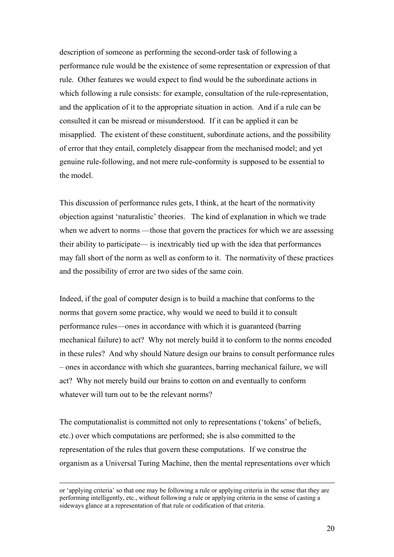description of someone as performing the second-order task of following a performance rule would be the existence of some representation or expression of that rule. Other features we would expect to find would be the subordinate actions in which following a rule consists: for example, consultation of the rule-representation, and the application of it to the appropriate situation in action. And if a rule can be consulted it can be misread or misunderstood. If it can be applied it can be misapplied. The existent of these constituent, subordinate actions, and the possibility of error that they entail, completely disappear from the mechanised model; and yet genuine rule-following, and not mere rule-conformity is supposed to be essential to the model.

This discussion of performance rules gets, I think, at the heart of the normativity objection against 'naturalistic' theories. The kind of explanation in which we trade when we advert to norms —those that govern the practices for which we are assessing their ability to participate— is inextricably tied up with the idea that performances may fall short of the norm as well as conform to it. The normativity of these practices and the possibility of error are two sides of the same coin.

Indeed, if the goal of computer design is to build a machine that conforms to the norms that govern some practice, why would we need to build it to consult performance rules—ones in accordance with which it is guaranteed (barring mechanical failure) to act? Why not merely build it to conform to the norms encoded in these rules? And why should Nature design our brains to consult performance rules – ones in accordance with which she guarantees, barring mechanical failure, we will act? Why not merely build our brains to cotton on and eventually to conform whatever will turn out to be the relevant norms?

The computationalist is committed not only to representations ('tokens' of beliefs, etc.) over which computations are performed; she is also committed to the representation of the rules that govern these computations. If we construe the organism as a Universal Turing Machine, then the mental representations over which

 $\overline{a}$ 

<span id="page-20-0"></span>or 'applying criteria' so that one may be following a rule or applying criteria in the sense that they are performing intelligently, etc., without following a rule or applying criteria in the sense of casting a sideways glance at a representation of that rule or codification of that criteria.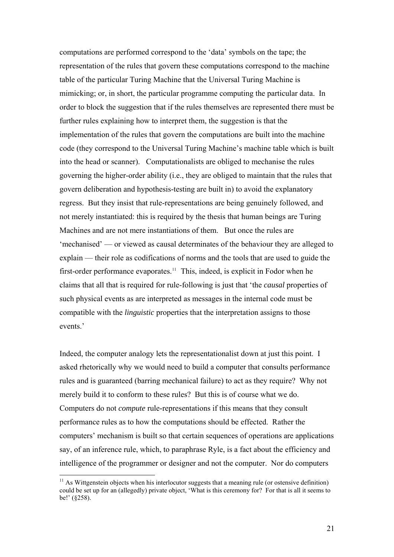computations are performed correspond to the 'data' symbols on the tape; the representation of the rules that govern these computations correspond to the machine table of the particular Turing Machine that the Universal Turing Machine is mimicking; or, in short, the particular programme computing the particular data. In order to block the suggestion that if the rules themselves are represented there must be further rules explaining how to interpret them, the suggestion is that the implementation of the rules that govern the computations are built into the machine code (they correspond to the Universal Turing Machine's machine table which is built into the head or scanner). Computationalists are obliged to mechanise the rules governing the higher-order ability (i.e., they are obliged to maintain that the rules that govern deliberation and hypothesis-testing are built in) to avoid the explanatory regress. But they insist that rule-representations are being genuinely followed, and not merely instantiated: this is required by the thesis that human beings are Turing Machines and are not mere instantiations of them. But once the rules are 'mechanised' — or viewed as causal determinates of the behaviour they are alleged to explain — their role as codifications of norms and the tools that are used to guide the first-order performance evaporates.<sup>[11](#page-20-0)</sup> This, indeed, is explicit in Fodor when he claims that all that is required for rule-following is just that 'the *causal* properties of such physical events as are interpreted as messages in the internal code must be compatible with the *linguistic* properties that the interpretation assigns to those events.'

Indeed, the computer analogy lets the representationalist down at just this point. I asked rhetorically why we would need to build a computer that consults performance rules and is guaranteed (barring mechanical failure) to act as they require? Why not merely build it to conform to these rules? But this is of course what we do. Computers do not *compute* rule-representations if this means that they consult performance rules as to how the computations should be effected. Rather the computers' mechanism is built so that certain sequences of operations are applications say, of an inference rule, which, to paraphrase Ryle, is a fact about the efficiency and intelligence of the programmer or designer and not the computer. Nor do computers

<span id="page-21-0"></span>l<br>L

 $11$  As Wittgenstein objects when his interlocutor suggests that a meaning rule (or ostensive definition) could be set up for an (allegedly) private object, 'What is this ceremony for? For that is all it seems to be!' (§258).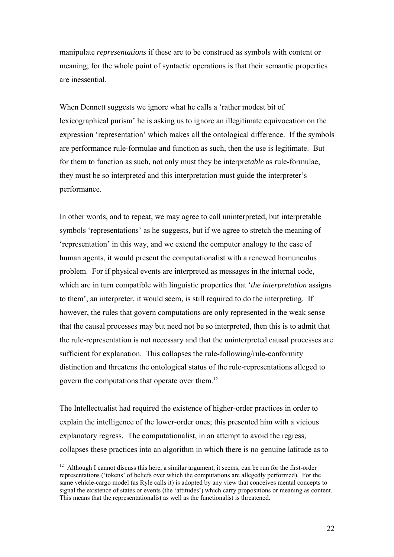manipulate *representations* if these are to be construed as symbols with content or meaning; for the whole point of syntactic operations is that their semantic properties are inessential.

When Dennett suggests we ignore what he calls a 'rather modest bit of lexicographical purism' he is asking us to ignore an illegitimate equivocation on the expression 'representation' which makes all the ontological difference. If the symbols are performance rule-formulae and function as such, then the use is legitimate. But for them to function as such, not only must they be interpret*able* as rule-formulae, they must be so interpret*ed* and this interpretation must guide the interpreter's performance.

In other words, and to repeat, we may agree to call uninterpreted, but interpretable symbols 'representations' as he suggests, but if we agree to stretch the meaning of 'representation' in this way, and we extend the computer analogy to the case of human agents, it would present the computationalist with a renewed homunculus problem. For if physical events are interpreted as messages in the internal code, which are in turn compatible with linguistic properties that '*the interpretation* assigns to them', an interpreter, it would seem, is still required to do the interpreting. If however, the rules that govern computations are only represented in the weak sense that the causal processes may but need not be so interpreted, then this is to admit that the rule-representation is not necessary and that the uninterpreted causal processes are sufficient for explanation. This collapses the rule-following/rule-conformity distinction and threatens the ontological status of the rule-representations alleged to govern the computations that operate over them.[12](#page-21-0)

<span id="page-22-0"></span>The Intellectualist had required the existence of higher-order practices in order to explain the intelligence of the lower-order ones; this presented him with a vicious explanatory regress. The computationalist, in an attempt to avoid the regress, collapses these practices into an algorithm in which there is no genuine latitude as to

<span id="page-22-1"></span><sup>&</sup>lt;sup>12</sup> Although I cannot discuss this here, a similar argument, it seems, can be run for the first-order representations ('tokens' of beliefs over which the computations are allegedly performed). For the same vehicle-cargo model (as Ryle calls it) is adopted by any view that conceives mental concepts to signal the existence of states or events (the 'attitudes') which carry propositions or meaning as content. This means that the representationalist as well as the functionalist is threatened.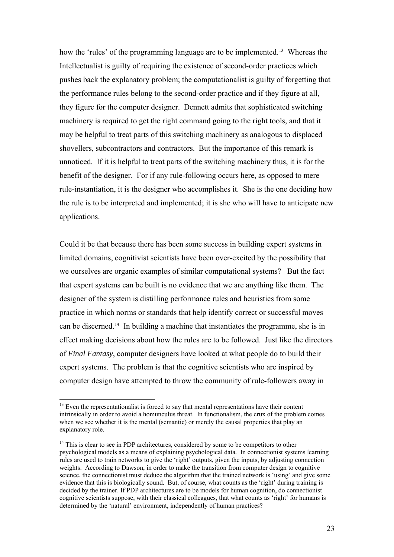how the 'rules' of the programming language are to be implemented.<sup>[13](#page-22-0)</sup> Whereas the Intellectualist is guilty of requiring the existence of second-order practices which pushes back the explanatory problem; the computationalist is guilty of forgetting that the performance rules belong to the second-order practice and if they figure at all, they figure for the computer designer. Dennett admits that sophisticated switching machinery is required to get the right command going to the right tools, and that it may be helpful to treat parts of this switching machinery as analogous to displaced shovellers, subcontractors and contractors. But the importance of this remark is unnoticed. If it is helpful to treat parts of the switching machinery thus, it is for the benefit of the designer. For if any rule-following occurs here, as opposed to mere rule-instantiation, it is the designer who accomplishes it. She is the one deciding how the rule is to be interpreted and implemented; it is she who will have to anticipate new applications.

Could it be that because there has been some success in building expert systems in limited domains, cognitivist scientists have been over-excited by the possibility that we ourselves are organic examples of similar computational systems? But the fact that expert systems can be built is no evidence that we are anything like them. The designer of the system is distilling performance rules and heuristics from some practice in which norms or standards that help identify correct or successful moves can be discerned.[14](#page-22-1) In building a machine that instantiates the programme, she is in effect making decisions about how the rules are to be followed. Just like the directors of *Final Fantasy*, computer designers have looked at what people do to build their expert systems. The problem is that the cognitive scientists who are inspired by computer design have attempted to throw the community of rule-followers away in

 $13$  Even the representationalist is forced to say that mental representations have their content intrinsically in order to avoid a homunculus threat. In functionalism, the crux of the problem comes when we see whether it is the mental (semantic) or merely the causal properties that play an explanatory role.

<span id="page-23-0"></span><sup>&</sup>lt;sup>14</sup> This is clear to see in PDP architectures, considered by some to be competitors to other psychological models as a means of explaining psychological data. In connectionist systems learning rules are used to train networks to give the 'right' outputs, given the inputs, by adjusting connection weights. According to Dawson, in order to make the transition from computer design to cognitive science, the connectionist must deduce the algorithm that the trained network is 'using' and give some evidence that this is biologically sound. But, of course, what counts as the 'right' during training is decided by the trainer. If PDP architectures are to be models for human cognition, do connectionist cognitive scientists suppose, with their classical colleagues, that what counts as 'right' for humans is determined by the 'natural' environment, independently of human practices?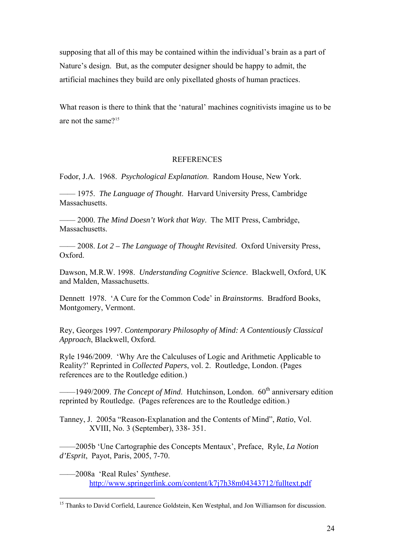supposing that all of this may be contained within the individual's brain as a part of Nature's design. But, as the computer designer should be happy to admit, the artificial machines they build are only pixellated ghosts of human practices.

What reason is there to think that the 'natural' machines cognitivists imagine us to be are not the same?<sup>[15](#page-23-0)</sup>

#### **REFERENCES**

Fodor, J.A. 1968. *Psychological Explanation*. Random House, New York.

—— 1975. *The Language of Thought*. Harvard University Press, Cambridge Massachusetts.

—— 2000. *The Mind Doesn't Work that Way*. The MIT Press, Cambridge, **Massachusetts** 

—— 2008. *Lot 2 – The Language of Thought Revisited*. Oxford University Press, Oxford.

Dawson, M.R.W. 1998. *Understanding Cognitive Science*. Blackwell, Oxford, UK and Malden, Massachusetts.

Dennett 1978. 'A Cure for the Common Code' in *Brainstorms*. Bradford Books, Montgomery, Vermont.

Rey, Georges 1997. *Contemporary Philosophy of Mind: A Contentiously Classical Approach*, Blackwell, Oxford.

Ryle 1946/2009. 'Why Are the Calculuses of Logic and Arithmetic Applicable to Reality?' Reprinted in *Collected Papers*, vol. 2. Routledge, London. (Pages references are to the Routledge edition.)

—1949/2009. *The Concept of Mind*. Hutchinson, London. 60<sup>th</sup> anniversary edition reprinted by Routledge. (Pages references are to the Routledge edition.)

Tanney, J. 2005a "Reason-Explanation and the Contents of Mind", *Ratio*, Vol. XVIII, No. 3 (September), 338- 351.

—— 2005b 'Une Cartographie des Concepts Mentaux', Preface, Ryle, *La Notion d'Esprit*, Payot, Paris, 2005, 7-70.

——2008a 'Real Rules' *Synthese*. <http://www.springerlink.com/content/k7j7h38m04343712/fulltext.pdf>

l<br>L

<sup>&</sup>lt;sup>15</sup> Thanks to David Corfield, Laurence Goldstein, Ken Westphal, and Jon Williamson for discussion.